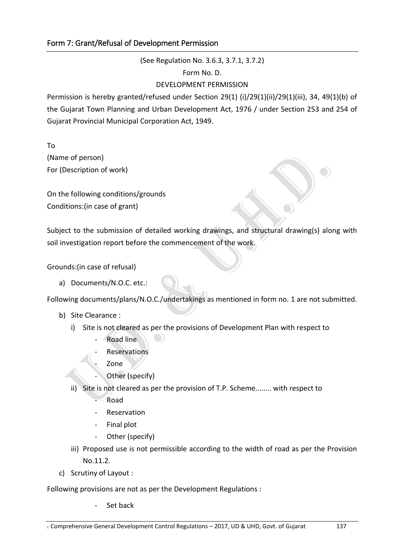(See Regulation No. 3.6.3, 3.7.1, 3.7.2)

Form No. D.

## DEVELOPMENT PERMISSION

Permission is hereby granted/refused under Section 29(1) (i)/29(1)(ii)/29(1)(iii), 34, 49(1)(b) of the Gujarat Town Planning and Urban Development Act, 1976 / under Section 253 and 254 of Gujarat Provincial Municipal Corporation Act, 1949.

To (Name of person) For (Description of work)

On the following conditions/grounds Conditions:(in case of grant)

Subject to the submission of detailed working drawings, and structural drawing(s) along with soil investigation report before the commencement of the work.

Grounds:(in case of refusal)

a) Documents/N.O.C. etc.:

Following documents/plans/N.O.C./undertakings as mentioned in form no. 1 are not submitted.

- b) Site Clearance :
	- i) Site is not cleared as per the provisions of Development Plan with respect to
		- Road line
		- **Reservations** 
			- Zone
		- Other (specify)
	- ii) Site is not cleared as per the provision of T.P. Scheme........ with respect to
		- Road
		- **Reservation**
		- Final plot
		- Other (specify)
	- iii) Proposed use is not permissible according to the width of road as per the Provision No.11.2.
- c) Scrutiny of Layout :

Following provisions are not as per the Development Regulations :

Set back